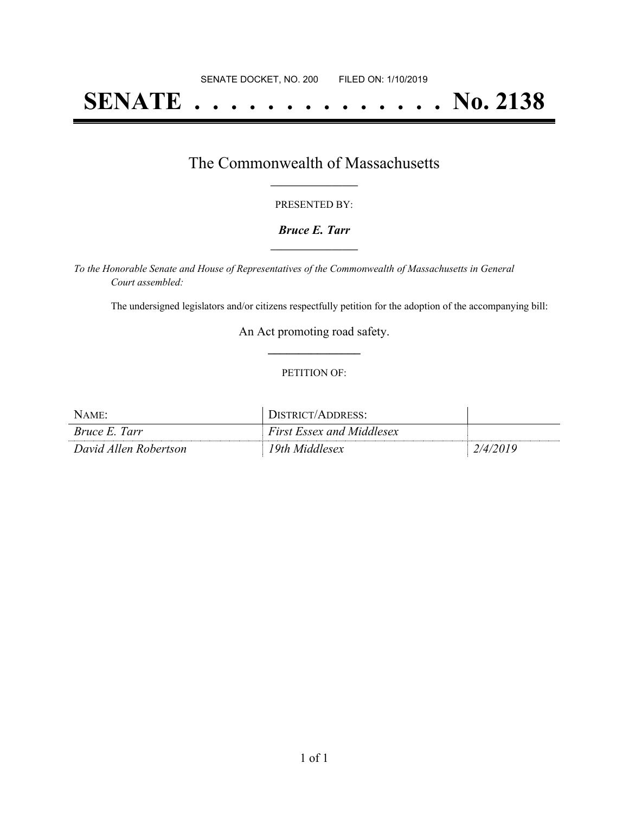# **SENATE . . . . . . . . . . . . . . No. 2138**

## The Commonwealth of Massachusetts **\_\_\_\_\_\_\_\_\_\_\_\_\_\_\_\_\_**

#### PRESENTED BY:

#### *Bruce E. Tarr* **\_\_\_\_\_\_\_\_\_\_\_\_\_\_\_\_\_**

*To the Honorable Senate and House of Representatives of the Commonwealth of Massachusetts in General Court assembled:*

The undersigned legislators and/or citizens respectfully petition for the adoption of the accompanying bill:

An Act promoting road safety. **\_\_\_\_\_\_\_\_\_\_\_\_\_\_\_**

#### PETITION OF:

| NAME:                 | DISTRICT/ADDRESS:                |          |
|-----------------------|----------------------------------|----------|
| <i>Bruce E. Tarr</i>  | <b>First Essex and Middlesex</b> |          |
| David Allen Robertson | 19th Middlesex                   | 2/4/2019 |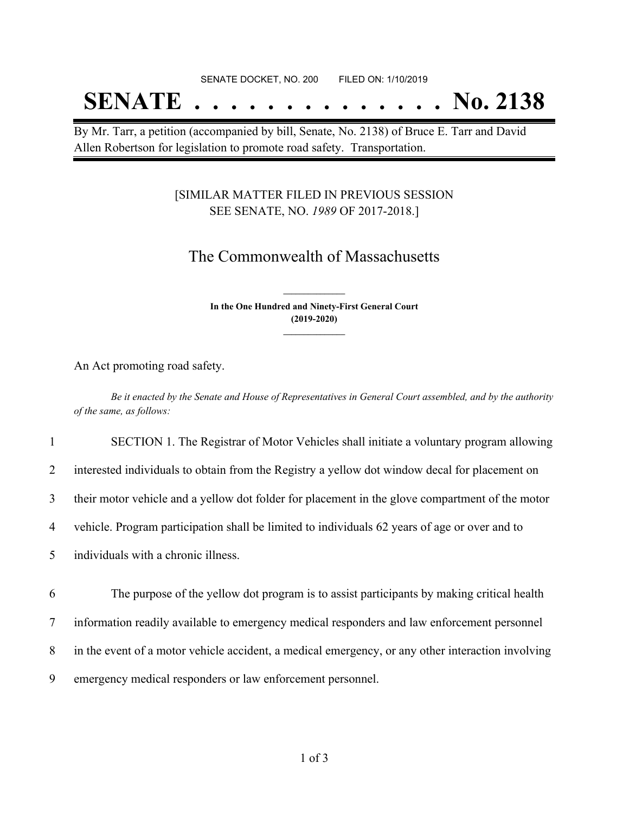## **SENATE . . . . . . . . . . . . . . No. 2138**

By Mr. Tarr, a petition (accompanied by bill, Senate, No. 2138) of Bruce E. Tarr and David Allen Robertson for legislation to promote road safety. Transportation.

#### [SIMILAR MATTER FILED IN PREVIOUS SESSION SEE SENATE, NO. *1989* OF 2017-2018.]

## The Commonwealth of Massachusetts

**In the One Hundred and Ninety-First General Court (2019-2020) \_\_\_\_\_\_\_\_\_\_\_\_\_\_\_**

**\_\_\_\_\_\_\_\_\_\_\_\_\_\_\_**

An Act promoting road safety.

Be it enacted by the Senate and House of Representatives in General Court assembled, and by the authority *of the same, as follows:*

1 SECTION 1. The Registrar of Motor Vehicles shall initiate a voluntary program allowing

2 interested individuals to obtain from the Registry a yellow dot window decal for placement on

3 their motor vehicle and a yellow dot folder for placement in the glove compartment of the motor

4 vehicle. Program participation shall be limited to individuals 62 years of age or over and to

5 individuals with a chronic illness.

6 The purpose of the yellow dot program is to assist participants by making critical health

7 information readily available to emergency medical responders and law enforcement personnel

8 in the event of a motor vehicle accident, a medical emergency, or any other interaction involving

9 emergency medical responders or law enforcement personnel.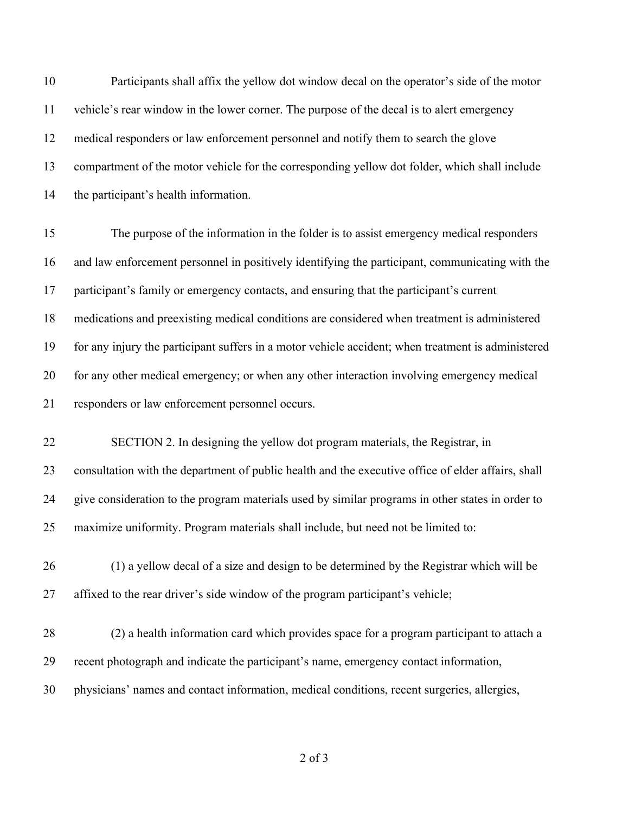Participants shall affix the yellow dot window decal on the operator's side of the motor vehicle's rear window in the lower corner. The purpose of the decal is to alert emergency medical responders or law enforcement personnel and notify them to search the glove compartment of the motor vehicle for the corresponding yellow dot folder, which shall include the participant's health information. The purpose of the information in the folder is to assist emergency medical responders and law enforcement personnel in positively identifying the participant, communicating with the participant's family or emergency contacts, and ensuring that the participant's current medications and preexisting medical conditions are considered when treatment is administered for any injury the participant suffers in a motor vehicle accident; when treatment is administered for any other medical emergency; or when any other interaction involving emergency medical responders or law enforcement personnel occurs. SECTION 2. In designing the yellow dot program materials, the Registrar, in consultation with the department of public health and the executive office of elder affairs, shall give consideration to the program materials used by similar programs in other states in order to maximize uniformity. Program materials shall include, but need not be limited to: (1) a yellow decal of a size and design to be determined by the Registrar which will be affixed to the rear driver's side window of the program participant's vehicle; (2) a health information card which provides space for a program participant to attach a recent photograph and indicate the participant's name, emergency contact information, physicians' names and contact information, medical conditions, recent surgeries, allergies,

of 3